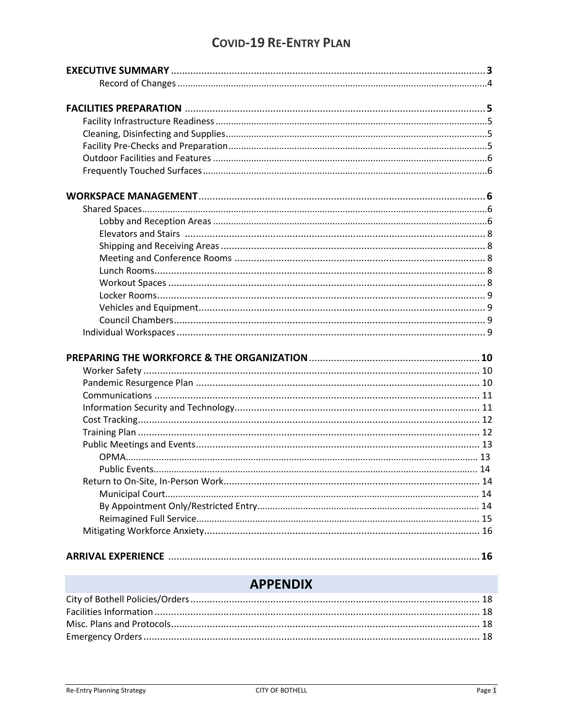# **COVID-19 RE-ENTRY PLAN**

# **APPENDIX**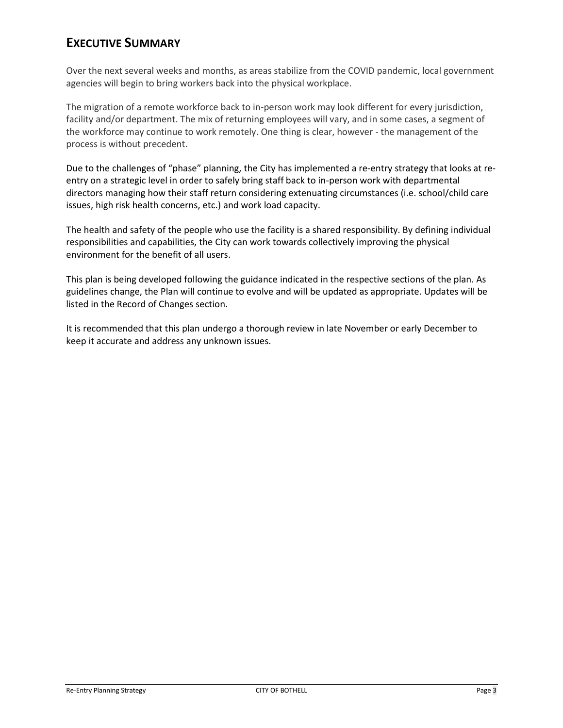# **EXECUTIVE SUMMARY**

Over the next several weeks and months, as areas stabilize from the COVID pandemic, local government agencies will begin to bring workers back into the physical workplace.

The migration of a remote workforce back to in-person work may look different for every jurisdiction, facility and/or department. The mix of returning employees will vary, and in some cases, a segment of the workforce may continue to work remotely. One thing is clear, however - the management of the process is without precedent.

Due to the challenges of "phase" planning, the City has implemented a re-entry strategy that looks at reentry on a strategic level in order to safely bring staff back to in-person work with departmental directors managing how their staff return considering extenuating circumstances (i.e. school/child care issues, high risk health concerns, etc.) and work load capacity.

The health and safety of the people who use the facility is a shared responsibility. By defining individual responsibilities and capabilities, the City can work towards collectively improving the physical environment for the benefit of all users.

This plan is being developed following the guidance indicated in the respective sections of the plan. As guidelines change, the Plan will continue to evolve and will be updated as appropriate. Updates will be listed in the Record of Changes section.

It is recommended that this plan undergo a thorough review in late November or early December to keep it accurate and address any unknown issues.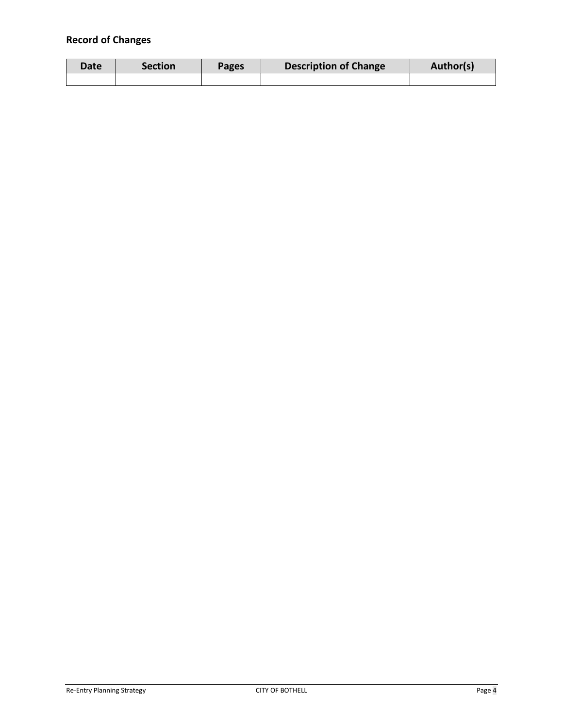# **Record of Changes**

| Date | <b>Section</b> | Pages | <b>Description of Change</b> | Author(s) |
|------|----------------|-------|------------------------------|-----------|
|      |                |       |                              |           |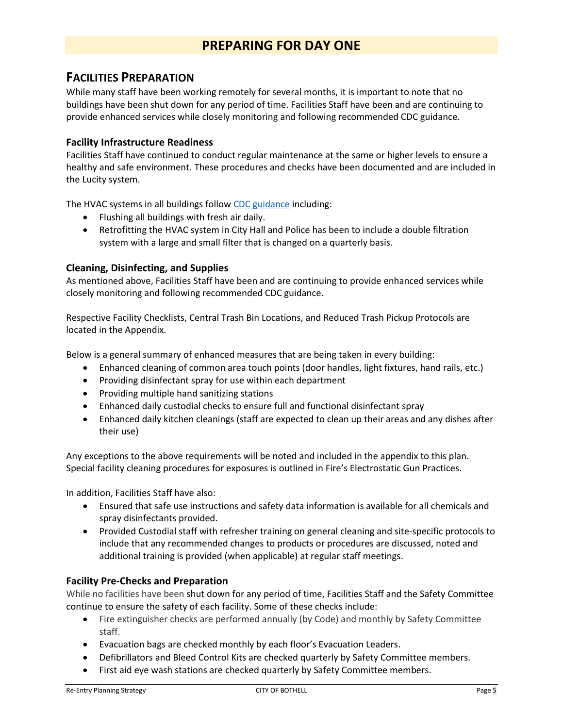# **PREPARING FOR DAY ONE**

## **FACILITIES PREPARATION**

While many staff have been working remotely for several months, it is important to note that no buildings have been shut down for any period of time. Facilities Staff have been and are continuing to provide enhanced services while closely monitoring and following recommended CDC guidance.

## **Facility Infrastructure Readiness**

Facilities Staff have continued to conduct regular maintenance at the same or higher levels to ensure a healthy and safe environment. These procedures and checks have been documented and are included in the Lucity system.

The HVAC systems in all buildings follow CDC guidance including:

- Flushing all buildings with fresh air daily.
- Retrofitting the HVAC system in City Hall and Police has been to include a double filtration system with a large and small filter that is changed on a quarterly basis.

## **Cleaning, Disinfecting, and Supplies**

As mentioned above, Facilities Staff have been and are continuing to provide enhanced services while closely monitoring and following recommended CDC guidance.

Respective Facility Checklists, Central Trash Bin Locations, and Reduced Trash Pickup Protocols are located in the Appendix.

Below is a general summary of enhanced measures that are being taken in every building:

- Enhanced cleaning of common area touch points (door handles, light fixtures, hand rails, etc.)
- Providing disinfectant spray for use within each department
- Providing multiple hand sanitizing stations
- Enhanced daily custodial checks to ensure full and functional disinfectant spray
- Enhanced daily kitchen cleanings (staff are expected to clean up their areas and any dishes after their use)

Any exceptions to the above requirements will be noted and included in the appendix to this plan. Special facility cleaning procedures for exposures is outlined in Fire's Electrostatic Gun Practices.

In addition, Facilities Staff have also:

- Ensured that safe use instructions and safety data information is available for all chemicals and spray disinfectants provided.
- Provided Custodial staff with refresher training on general cleaning and site-specific protocols to include that any recommended changes to products or procedures are discussed, noted and additional training is provided (when applicable) at regular staff meetings.

### **Facility Pre-Checks and Preparation**

While no facilities have been shut down for any period of time, Facilities Staff and the Safety Committee continue to ensure the safety of each facility. Some of these checks include:

- Fire extinguisher checks are performed annually (by Code) and monthly by Safety Committee staff.
- Evacuation bags are checked monthly by each floor's Evacuation Leaders.
- Defibrillators and Bleed Control Kits are checked quarterly by Safety Committee members.
- First aid eye wash stations are checked quarterly by Safety Committee members.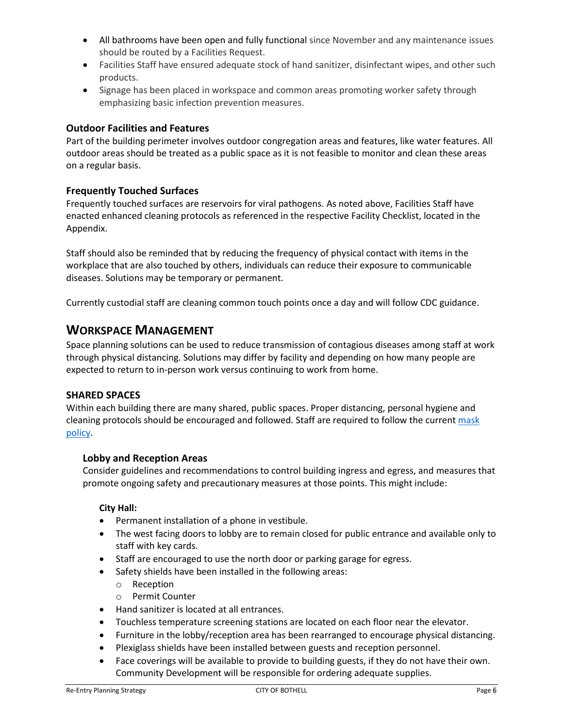- All bathrooms have been open and fully functional since November and any maintenance issues should be routed by a Facilities Request.
- Facilities Staff have ensured adequate stock of hand sanitizer, disinfectant wipes, and other such products.
- Signage has been placed in workspace and common areas promoting worker safety through emphasizing basic infection prevention measures.

## **Outdoor Facilities and Features**

Part of the building perimeter involves outdoor congregation areas and features, like water features. All outdoor areas should be treated as a public space as it is not feasible to monitor and clean these areas on a regular basis.

## **Frequently Touched Surfaces**

Frequently touched surfaces are reservoirs for viral pathogens. As noted above, Facilities Staff have enacted enhanced cleaning protocols as referenced in the respective Facility Checklist, located in the Appendix.

Staff should also be reminded that by reducing the frequency of physical contact with items in the workplace that are also touched by others, individuals can reduce their exposure to communicable diseases. Solutions may be temporary or permanent.

Currently custodial staff are cleaning common touch points once a day and will follow CDC guidance.

## **WORKSPACE MANAGEMENT**

Space planning solutions can be used to reduce transmission of contagious diseases among staff at work through physical distancing. Solutions may differ by facility and depending on how many people are expected to return to in-person work versus continuing to work from home.

### **SHARED SPACES**

Within each building there are many shared, public spaces. Proper distancing, personal hygiene and cleaning protocols should be encouraged and followed. Staff are required to follow the current [mask](https://www.bothellwa.gov/DocumentCenter/View/13619/UPDATED-COVID-19-Mask-and-Facial-Covering-Temp-Policy-and-Procedure_07-26-2021)  [policy.](https://www.bothellwa.gov/DocumentCenter/View/13619/UPDATED-COVID-19-Mask-and-Facial-Covering-Temp-Policy-and-Procedure_07-26-2021)

### **Lobby and Reception Areas**

Consider guidelines and recommendations to control building ingress and egress, and measures that promote ongoing safety and precautionary measures at those points. This might include:

### **City Hall:**

- Permanent installation of a phone in vestibule.
- The west facing doors to lobby are to remain closed for public entrance and available only to staff with key cards.
- Staff are encouraged to use the north door or parking garage for egress.
- Safety shields have been installed in the following areas:
	- o Reception
	- o Permit Counter
- Hand sanitizer is located at all entrances.
- Touchless temperature screening stations are located on each floor near the elevator.
- Furniture in the lobby/reception area has been rearranged to encourage physical distancing.
- Plexiglass shields have been installed between guests and reception personnel.
- Face coverings will be available to provide to building guests, if they do not have their own. Community Development will be responsible for ordering adequate supplies.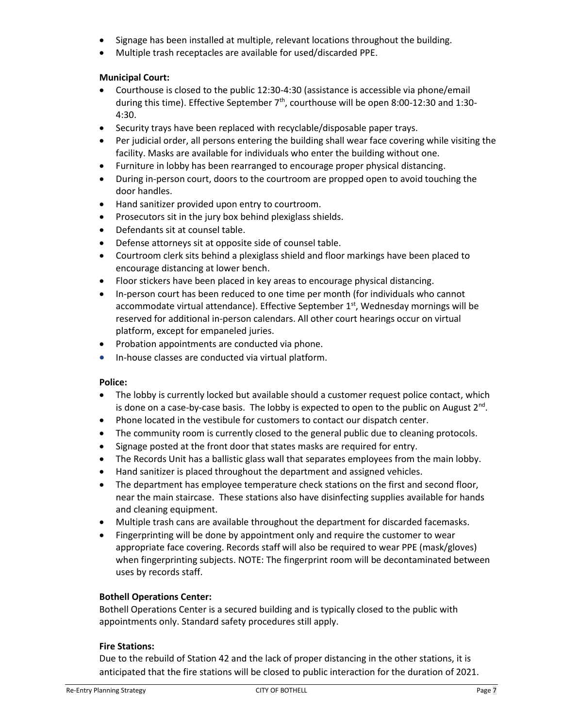- Signage has been installed at multiple, relevant locations throughout the building.
- Multiple trash receptacles are available for used/discarded PPE.

## **Municipal Court:**

- Courthouse is closed to the public 12:30-4:30 (assistance is accessible via phone/email during this time). Effective September  $7<sup>th</sup>$ , courthouse will be open 8:00-12:30 and 1:30-4:30.
- Security trays have been replaced with recyclable/disposable paper trays.
- Per judicial order, all persons entering the building shall wear face covering while visiting the facility. Masks are available for individuals who enter the building without one.
- Furniture in lobby has been rearranged to encourage proper physical distancing.
- During in-person court, doors to the courtroom are propped open to avoid touching the door handles.
- Hand sanitizer provided upon entry to courtroom.
- Prosecutors sit in the jury box behind plexiglass shields.
- Defendants sit at counsel table.
- Defense attorneys sit at opposite side of counsel table.
- Courtroom clerk sits behind a plexiglass shield and floor markings have been placed to encourage distancing at lower bench.
- Floor stickers have been placed in key areas to encourage physical distancing.
- In-person court has been reduced to one time per month (for individuals who cannot accommodate virtual attendance). Effective September  $1<sup>st</sup>$ , Wednesday mornings will be reserved for additional in-person calendars. All other court hearings occur on virtual platform, except for empaneled juries.
- Probation appointments are conducted via phone.
- In-house classes are conducted via virtual platform.

#### **Police:**

- The lobby is currently locked but available should a customer request police contact, which is done on a case-by-case basis. The lobby is expected to open to the public on August  $2^{nd}$ .
- Phone located in the vestibule for customers to contact our dispatch center.
- The community room is currently closed to the general public due to cleaning protocols.
- Signage posted at the front door that states masks are required for entry.
- The Records Unit has a ballistic glass wall that separates employees from the main lobby.
- Hand sanitizer is placed throughout the department and assigned vehicles.
- The department has employee temperature check stations on the first and second floor, near the main staircase. These stations also have disinfecting supplies available for hands and cleaning equipment.
- Multiple trash cans are available throughout the department for discarded facemasks.
- Fingerprinting will be done by appointment only and require the customer to wear appropriate face covering. Records staff will also be required to wear PPE (mask/gloves) when fingerprinting subjects. NOTE: The fingerprint room will be decontaminated between uses by records staff.

### **Bothell Operations Center:**

Bothell Operations Center is a secured building and is typically closed to the public with appointments only. Standard safety procedures still apply.

### **Fire Stations:**

Due to the rebuild of Station 42 and the lack of proper distancing in the other stations, it is anticipated that the fire stations will be closed to public interaction for the duration of 2021.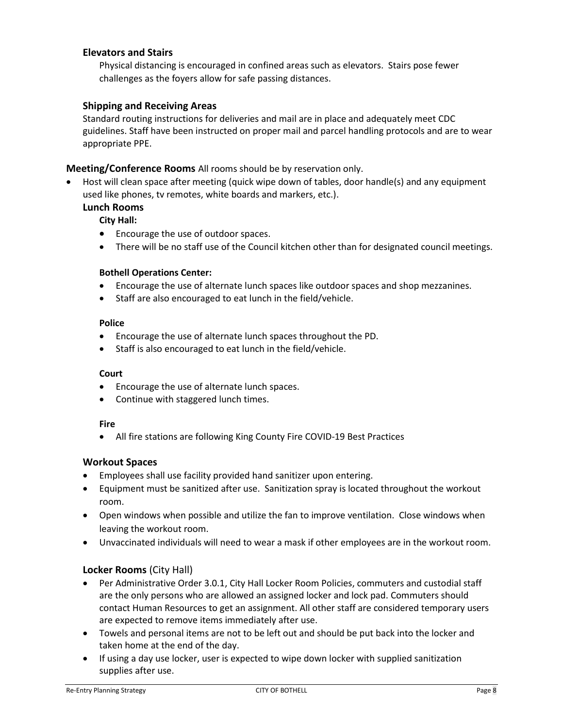## **Elevators and Stairs**

Physical distancing is encouraged in confined areas such as elevators. Stairs pose fewer challenges as the foyers allow for safe passing distances.

### **Shipping and Receiving Areas**

Standard routing instructions for deliveries and mail are in place and adequately meet CDC guidelines. Staff have been instructed on proper mail and parcel handling protocols and are to wear appropriate PPE.

### **Meeting/Conference Rooms** All rooms should be by reservation only.

• Host will clean space after meeting (quick wipe down of tables, door handle(s) and any equipment used like phones, tv remotes, white boards and markers, etc.).

#### **Lunch Rooms**

#### **City Hall:**

- Encourage the use of outdoor spaces.
- There will be no staff use of the Council kitchen other than for designated council meetings.

#### **Bothell Operations Center:**

- Encourage the use of alternate lunch spaces like outdoor spaces and shop mezzanines.
- Staff are also encouraged to eat lunch in the field/vehicle.

#### **Police**

- Encourage the use of alternate lunch spaces throughout the PD.
- Staff is also encouraged to eat lunch in the field/vehicle.

#### **Court**

- Encourage the use of alternate lunch spaces.
- Continue with staggered lunch times.

#### **Fire**

• All fire stations are following King County Fire COVID-19 Best Practices

#### **Workout Spaces**

- Employees shall use facility provided hand sanitizer upon entering.
- Equipment must be sanitized after use. Sanitization spray is located throughout the workout room.
- Open windows when possible and utilize the fan to improve ventilation. Close windows when leaving the workout room.
- Unvaccinated individuals will need to wear a mask if other employees are in the workout room.

#### **Locker Rooms** (City Hall)

- Per Administrative Order 3.0.1, City Hall Locker Room Policies, commuters and custodial staff are the only persons who are allowed an assigned locker and lock pad. Commuters should contact Human Resources to get an assignment. All other staff are considered temporary users are expected to remove items immediately after use.
- Towels and personal items are not to be left out and should be put back into the locker and taken home at the end of the day.
- If using a day use locker, user is expected to wipe down locker with supplied sanitization supplies after use.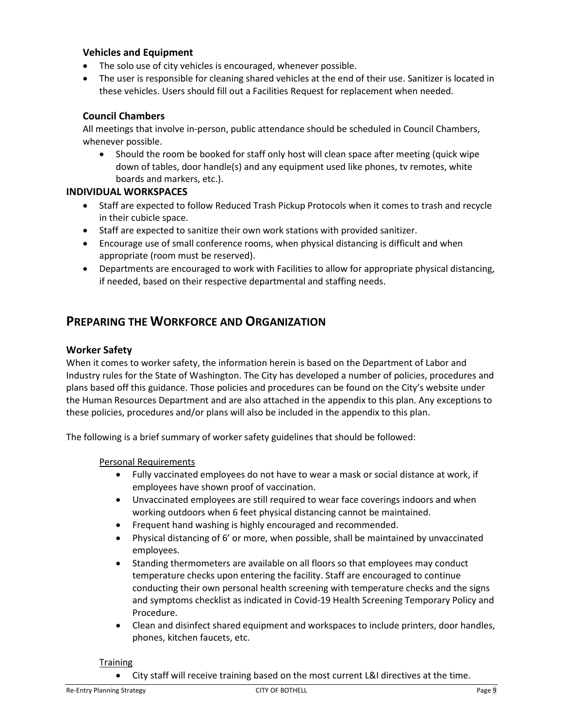## **Vehicles and Equipment**

- The solo use of city vehicles is encouraged, whenever possible.
- The user is responsible for cleaning shared vehicles at the end of their use. Sanitizer is located in these vehicles. Users should fill out a Facilities Request for replacement when needed.

## **Council Chambers**

All meetings that involve in-person, public attendance should be scheduled in Council Chambers, whenever possible.

• Should the room be booked for staff only host will clean space after meeting (quick wipe down of tables, door handle(s) and any equipment used like phones, tv remotes, white boards and markers, etc.).

### **INDIVIDUAL WORKSPACES**

- Staff are expected to follow Reduced Trash Pickup Protocols when it comes to trash and recycle in their cubicle space.
- Staff are expected to sanitize their own work stations with provided sanitizer.
- Encourage use of small conference rooms, when physical distancing is difficult and when appropriate (room must be reserved).
- Departments are encouraged to work with Facilities to allow for appropriate physical distancing, if needed, based on their respective departmental and staffing needs.

# **PREPARING THE WORKFORCE AND ORGANIZATION**

#### **Worker Safety**

When it comes to worker safety, the information herein is based on the Department of Labor and Industry rules for the State of Washington. The City has developed a number of policies, procedures and plans based off this guidance. Those policies and procedures can be found on the City's website under the Human Resources Department and are also attached in the appendix to this plan. Any exceptions to these policies, procedures and/or plans will also be included in the appendix to this plan.

The following is a brief summary of worker safety guidelines that should be followed:

#### Personal Requirements

- Fully vaccinated employees do not have to wear a mask or social distance at work, if employees have shown proof of vaccination.
- Unvaccinated employees are still required to wear face coverings indoors and when working outdoors when 6 feet physical distancing cannot be maintained.
- Frequent hand washing is highly encouraged and recommended.
- Physical distancing of 6' or more, when possible, shall be maintained by unvaccinated employees.
- Standing thermometers are available on all floors so that employees may conduct temperature checks upon entering the facility. Staff are encouraged to continue conducting their own personal health screening with temperature checks and the signs and symptoms checklist as indicated in Covid-19 Health Screening Temporary Policy and Procedure.
- Clean and disinfect shared equipment and workspaces to include printers, door handles, phones, kitchen faucets, etc.

#### **Training**

• City staff will receive training based on the most current L&I directives at the time.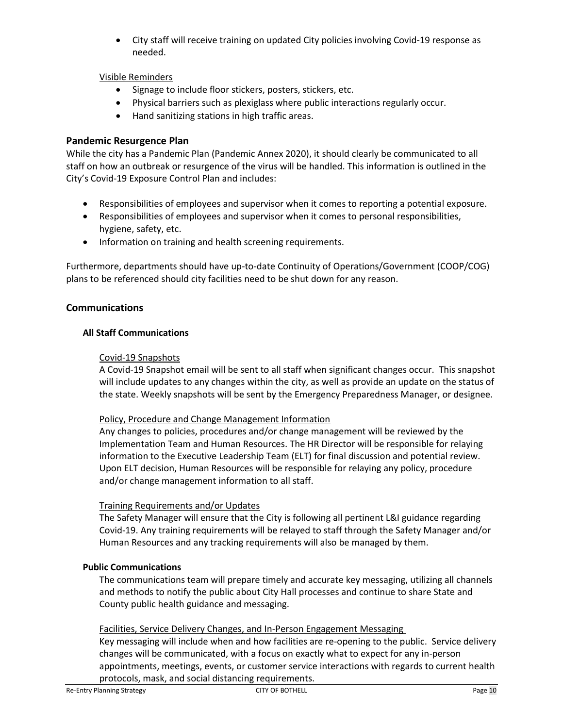• City staff will receive training on updated City policies involving Covid-19 response as needed.

## Visible Reminders

- Signage to include floor stickers, posters, stickers, etc.
- Physical barriers such as plexiglass where public interactions regularly occur.
- Hand sanitizing stations in high traffic areas.

## **Pandemic Resurgence Plan**

While the city has a Pandemic Plan (Pandemic Annex 2020), it should clearly be communicated to all staff on how an outbreak or resurgence of the virus will be handled. This information is outlined in the City's Covid-19 Exposure Control Plan and includes:

- Responsibilities of employees and supervisor when it comes to reporting a potential exposure.
- Responsibilities of employees and supervisor when it comes to personal responsibilities, hygiene, safety, etc.
- Information on training and health screening requirements.

Furthermore, departments should have up-to-date Continuity of Operations/Government (COOP/COG) plans to be referenced should city facilities need to be shut down for any reason.

### **Communications**

#### **All Staff Communications**

#### Covid-19 Snapshots

A Covid-19 Snapshot email will be sent to all staff when significant changes occur. This snapshot will include updates to any changes within the city, as well as provide an update on the status of the state. Weekly snapshots will be sent by the Emergency Preparedness Manager, or designee.

#### Policy, Procedure and Change Management Information

Any changes to policies, procedures and/or change management will be reviewed by the Implementation Team and Human Resources. The HR Director will be responsible for relaying information to the Executive Leadership Team (ELT) for final discussion and potential review. Upon ELT decision, Human Resources will be responsible for relaying any policy, procedure and/or change management information to all staff.

### Training Requirements and/or Updates

The Safety Manager will ensure that the City is following all pertinent L&I guidance regarding Covid-19. Any training requirements will be relayed to staff through the Safety Manager and/or Human Resources and any tracking requirements will also be managed by them.

#### **Public Communications**

The communications team will prepare timely and accurate key messaging, utilizing all channels and methods to notify the public about City Hall processes and continue to share State and County public health guidance and messaging.

### Facilities, Service Delivery Changes, and In-Person Engagement Messaging

Key messaging will include when and how facilities are re-opening to the public. Service delivery changes will be communicated, with a focus on exactly what to expect for any in-person appointments, meetings, events, or customer service interactions with regards to current health protocols, mask, and social distancing requirements.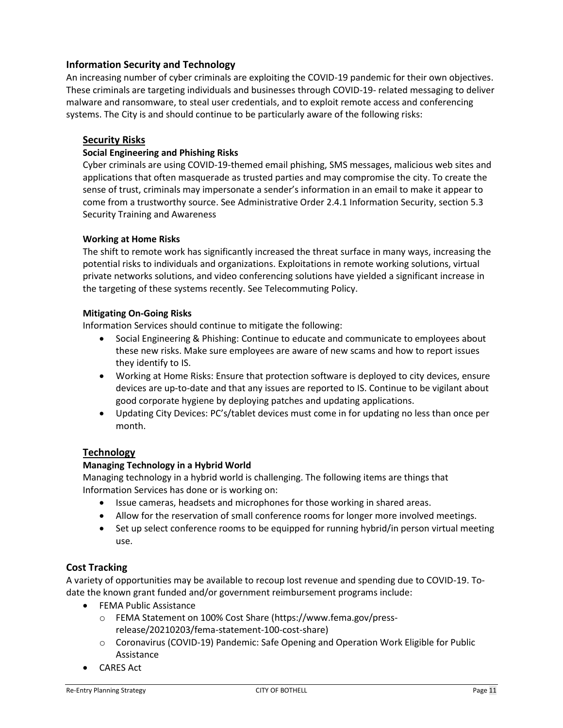## **Information Security and Technology**

An increasing number of cyber criminals are exploiting the COVID-19 pandemic for their own objectives. These criminals are targeting individuals and businesses through COVID-19- related messaging to deliver malware and ransomware, to steal user credentials, and to exploit remote access and conferencing systems. The City is and should continue to be particularly aware of the following risks:

#### **Security Risks**

#### **Social Engineering and Phishing Risks**

Cyber criminals are using COVID-19-themed email phishing, SMS messages, malicious web sites and applications that often masquerade as trusted parties and may compromise the city. To create the sense of trust, criminals may impersonate a sender's information in an email to make it appear to come from a trustworthy source. See Administrative Order 2.4.1 Information Security, section 5.3 Security Training and Awareness

#### **Working at Home Risks**

The shift to remote work has significantly increased the threat surface in many ways, increasing the potential risks to individuals and organizations. Exploitations in remote working solutions, virtual private networks solutions, and video conferencing solutions have yielded a significant increase in the targeting of these systems recently. See Telecommuting Policy.

#### **Mitigating On-Going Risks**

Information Services should continue to mitigate the following:

- Social Engineering & Phishing: Continue to educate and communicate to employees about these new risks. Make sure employees are aware of new scams and how to report issues they identify to IS.
- Working at Home Risks: Ensure that protection software is deployed to city devices, ensure devices are up-to-date and that any issues are reported to IS. Continue to be vigilant about good corporate hygiene by deploying patches and updating applications.
- Updating City Devices: PC's/tablet devices must come in for updating no less than once per month.

### **Technology**

### **Managing Technology in a Hybrid World**

Managing technology in a hybrid world is challenging. The following items are things that Information Services has done or is working on:

- Issue cameras, headsets and microphones for those working in shared areas.
- Allow for the reservation of small conference rooms for longer more involved meetings.
- Set up select conference rooms to be equipped for running hybrid/in person virtual meeting use.

### **Cost Tracking**

A variety of opportunities may be available to recoup lost revenue and spending due to COVID-19. Todate the known grant funded and/or government reimbursement programs include:

- FEMA Public Assistance
	- o FEMA Statement on 100% Cost Share (https://www.fema.gov/pressrelease/20210203/fema-statement-100-cost-share)
	- o Coronavirus (COVID-19) Pandemic: Safe Opening and Operation Work Eligible for Public Assistance
- CARES Act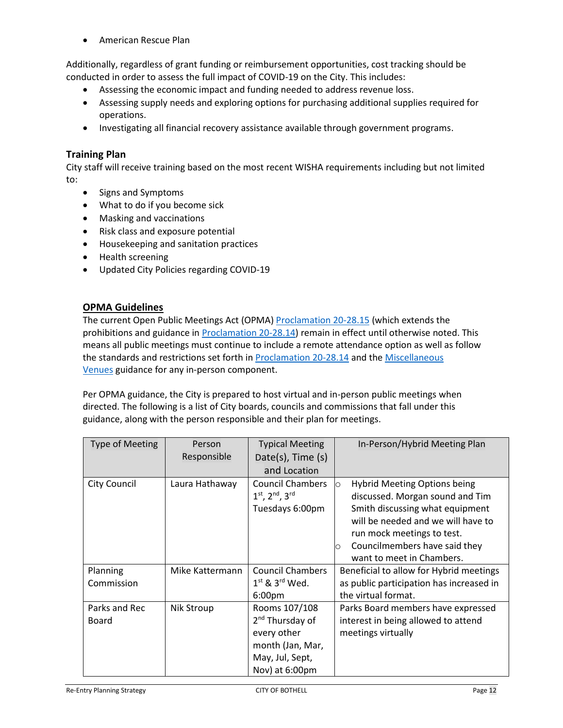• American Rescue Plan

Additionally, regardless of grant funding or reimbursement opportunities, cost tracking should be conducted in order to assess the full impact of COVID-19 on the City. This includes:

- Assessing the economic impact and funding needed to address revenue loss.
- Assessing supply needs and exploring options for purchasing additional supplies required for operations.
- Investigating all financial recovery assistance available through government programs.

## **Training Plan**

City staff will receive training based on the most recent WISHA requirements including but not limited to:

- Signs and Symptoms
- What to do if you become sick
- Masking and vaccinations
- Risk class and exposure potential
- Housekeeping and sanitation practices
- Health screening
- Updated City Policies regarding COVID-19

## **OPMA Guidelines**

The current Open Public Meetings Act (OPMA) [Proclamation](https://www.governor.wa.gov/sites/default/files/proclamations/proc_20-28.15.pdf) [20-28.15](https://www.governor.wa.gov/sites/default/files/proclamations/proc_20-28.15.pdf) (which extends the prohibitions and guidance in [Proclamation](https://www.governor.wa.gov/sites/default/files/proclamations/proc_20-28.14.pdf) [20-28.14\)](https://www.governor.wa.gov/sites/default/files/proclamations/proc_20-28.14.pdf) remain in effect until otherwise noted. This means all public meetings must continue to include a remote attendance option as well as follow the standards and restrictions set forth in [Proclamation](https://www.governor.wa.gov/sites/default/files/proclamations/proc_20-28.14.pdf) [20-28.14](https://www.governor.wa.gov/sites/default/files/proclamations/proc_20-28.14.pdf) and the Miscellaneous [Venues](https://www.governor.wa.gov/sites/default/files/COVID19%20Misc%20Venue%20Guidance.pdf) guidance for any in-person component.

Per OPMA guidance, the City is prepared to host virtual and in-person public meetings when directed. The following is a list of City boards, councils and commissions that fall under this guidance, along with the person responsible and their plan for meetings.

| <b>Type of Meeting</b> | Person          | <b>Typical Meeting</b>         | In-Person/Hybrid Meeting Plan                  |  |
|------------------------|-----------------|--------------------------------|------------------------------------------------|--|
|                        | Responsible     | Date(s), Time (s)              |                                                |  |
|                        |                 | and Location                   |                                                |  |
| <b>City Council</b>    | Laura Hathaway  | <b>Council Chambers</b>        | <b>Hybrid Meeting Options being</b><br>$\circ$ |  |
|                        |                 | $1^{st}$ , $2^{nd}$ , $3^{rd}$ | discussed. Morgan sound and Tim                |  |
|                        |                 | Tuesdays 6:00pm                | Smith discussing what equipment                |  |
|                        |                 |                                | will be needed and we will have to             |  |
|                        |                 |                                | run mock meetings to test.                     |  |
|                        |                 |                                | Councilmembers have said they<br>$\circ$       |  |
|                        |                 |                                | want to meet in Chambers.                      |  |
| Planning               | Mike Kattermann | <b>Council Chambers</b>        | Beneficial to allow for Hybrid meetings        |  |
| Commission             |                 | $1st$ & $3rd$ Wed.             | as public participation has increased in       |  |
|                        |                 | 6:00 <sub>pm</sub>             | the virtual format.                            |  |
| Parks and Rec          | Nik Stroup      | Rooms 107/108                  | Parks Board members have expressed             |  |
| Board                  |                 | 2 <sup>nd</sup> Thursday of    | interest in being allowed to attend            |  |
|                        |                 | every other                    | meetings virtually                             |  |
|                        |                 | month (Jan, Mar,               |                                                |  |
|                        |                 | May, Jul, Sept,                |                                                |  |
|                        |                 | Nov) at 6:00pm                 |                                                |  |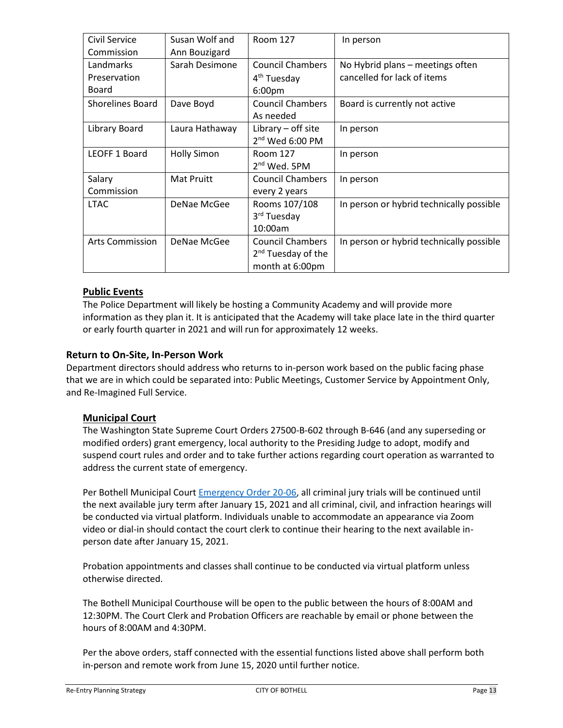| Civil Service           | Susan Wolf and     | Room 127                       | In person                                |
|-------------------------|--------------------|--------------------------------|------------------------------------------|
| Commission              | Ann Bouzigard      |                                |                                          |
| Landmarks               | Sarah Desimone     | <b>Council Chambers</b>        | No Hybrid plans - meetings often         |
| Preservation            |                    | 4 <sup>th</sup> Tuesday        | cancelled for lack of items              |
| <b>Board</b>            |                    | 6:00pm                         |                                          |
| <b>Shorelines Board</b> | Dave Boyd          | <b>Council Chambers</b>        | Board is currently not active            |
|                         |                    | As needed                      |                                          |
| Library Board           | Laura Hathaway     | Library - off site             | In person                                |
|                         |                    | 2 <sup>nd</sup> Wed 6:00 PM    |                                          |
| LEOFF 1 Board           | <b>Holly Simon</b> | Room 127                       | In person                                |
|                         |                    | $2nd$ Wed. 5PM                 |                                          |
| Salary                  | Mat Pruitt         | <b>Council Chambers</b>        | In person                                |
| Commission              |                    | every 2 years                  |                                          |
| <b>LTAC</b>             | DeNae McGee        | Rooms 107/108                  | In person or hybrid technically possible |
|                         |                    | 3 <sup>rd</sup> Tuesday        |                                          |
|                         |                    | 10:00am                        |                                          |
| <b>Arts Commission</b>  | DeNae McGee        | <b>Council Chambers</b>        | In person or hybrid technically possible |
|                         |                    | 2 <sup>nd</sup> Tuesday of the |                                          |
|                         |                    | month at 6:00pm                |                                          |

## **Public Events**

The Police Department will likely be hosting a Community Academy and will provide more information as they plan it. It is anticipated that the Academy will take place late in the third quarter or early fourth quarter in 2021 and will run for approximately 12 weeks.

## **Return to On-Site, In-Person Work**

Department directors should address who returns to in-person work based on the public facing phase that we are in which could be separated into: Public Meetings, Customer Service by Appointment Only, and Re-Imagined Full Service.

### **Municipal Court**

The Washington State Supreme Court Orders 27500-B-602 through B-646 (and any superseding or modified orders) grant emergency, local authority to the Presiding Judge to adopt, modify and suspend court rules and order and to take further actions regarding court operation as warranted to address the current state of emergency.

Per Bothell Municipal Court [Emergency Order 20-06,](http://bothellwa.gov/DocumentCenter/View/12347) all criminal jury trials will be continued until the next available jury term after January 15, 2021 and all criminal, civil, and infraction hearings will be conducted via virtual platform. Individuals unable to accommodate an appearance via Zoom video or dial-in should contact the court clerk to continue their hearing to the next available inperson date after January 15, 2021.

Probation appointments and classes shall continue to be conducted via virtual platform unless otherwise directed.

The Bothell Municipal Courthouse will be open to the public between the hours of 8:00AM and 12:30PM. The Court Clerk and Probation Officers are reachable by email or phone between the hours of 8:00AM and 4:30PM.

Per the above orders, staff connected with the essential functions listed above shall perform both in-person and remote work from June 15, 2020 until further notice.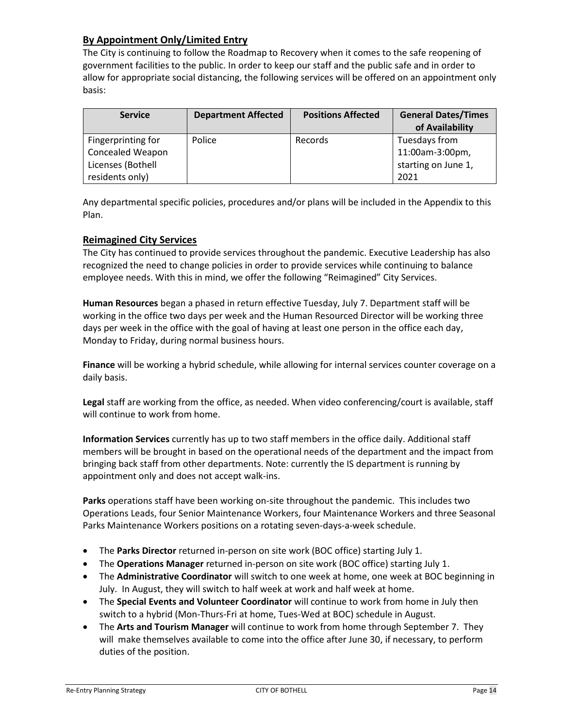## **By Appointment Only/Limited Entry**

The City is continuing to follow the Roadmap to Recovery when it comes to the safe reopening of government facilities to the public. In order to keep our staff and the public safe and in order to allow for appropriate social distancing, the following services will be offered on an appointment only basis:

| <b>Service</b>          | <b>Department Affected</b> | <b>Positions Affected</b> | <b>General Dates/Times</b><br>of Availability |
|-------------------------|----------------------------|---------------------------|-----------------------------------------------|
| Fingerprinting for      | Police                     | Records                   | Tuesdays from                                 |
| <b>Concealed Weapon</b> |                            |                           | 11:00am-3:00pm,                               |
| Licenses (Bothell       |                            |                           | starting on June 1,                           |
| residents only)         |                            |                           | 2021                                          |

Any departmental specific policies, procedures and/or plans will be included in the Appendix to this Plan.

## **Reimagined City Services**

The City has continued to provide services throughout the pandemic. Executive Leadership has also recognized the need to change policies in order to provide services while continuing to balance employee needs. With this in mind, we offer the following "Reimagined" City Services.

**Human Resources** began a phased in return effective Tuesday, July 7. Department staff will be working in the office two days per week and the Human Resourced Director will be working three days per week in the office with the goal of having at least one person in the office each day, Monday to Friday, during normal business hours.

**Finance** will be working a hybrid schedule, while allowing for internal services counter coverage on a daily basis.

**Legal** staff are working from the office, as needed. When video conferencing/court is available, staff will continue to work from home.

**Information Services** currently has up to two staff members in the office daily. Additional staff members will be brought in based on the operational needs of the department and the impact from bringing back staff from other departments. Note: currently the IS department is running by appointment only and does not accept walk-ins.

**Parks** operations staff have been working on-site throughout the pandemic. This includes two Operations Leads, four Senior Maintenance Workers, four Maintenance Workers and three Seasonal Parks Maintenance Workers positions on a rotating seven-days-a-week schedule.

- The **Parks Director** returned in-person on site work (BOC office) starting July 1.
- The **Operations Manager** returned in-person on site work (BOC office) starting July 1.
- The **Administrative Coordinator** will switch to one week at home, one week at BOC beginning in July. In August, they will switch to half week at work and half week at home.
- The **Special Events and Volunteer Coordinator** will continue to work from home in July then switch to a hybrid (Mon-Thurs-Fri at home, Tues-Wed at BOC) schedule in August.
- The **Arts and Tourism Manager** will continue to work from home through September 7. They will make themselves available to come into the office after June 30, if necessary, to perform duties of the position.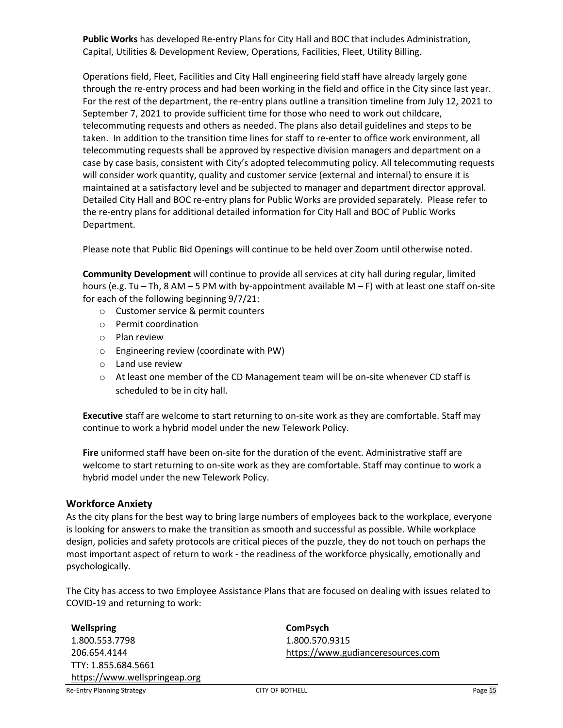**Public Works** has developed Re-entry Plans for City Hall and BOC that includes Administration, Capital, Utilities & Development Review, Operations, Facilities, Fleet, Utility Billing.

Operations field, Fleet, Facilities and City Hall engineering field staff have already largely gone through the re-entry process and had been working in the field and office in the City since last year. For the rest of the department, the re-entry plans outline a transition timeline from July 12, 2021 to September 7, 2021 to provide sufficient time for those who need to work out childcare, telecommuting requests and others as needed. The plans also detail guidelines and steps to be taken. In addition to the transition time lines for staff to re-enter to office work environment, all telecommuting requests shall be approved by respective division managers and department on a case by case basis, consistent with City's adopted telecommuting policy. All telecommuting requests will consider work quantity, quality and customer service (external and internal) to ensure it is maintained at a satisfactory level and be subjected to manager and department director approval. Detailed City Hall and BOC re-entry plans for Public Works are provided separately. Please refer to the re-entry plans for additional detailed information for City Hall and BOC of Public Works Department.

Please note that Public Bid Openings will continue to be held over Zoom until otherwise noted.

**Community Development** will continue to provide all services at city hall during regular, limited hours (e.g. Tu – Th, 8 AM – 5 PM with by-appointment available M – F) with at least one staff on-site for each of the following beginning 9/7/21:

- o Customer service & permit counters
- o Permit coordination
- o Plan review
- o Engineering review (coordinate with PW)
- o Land use review
- o At least one member of the CD Management team will be on-site whenever CD staff is scheduled to be in city hall.

**Executive** staff are welcome to start returning to on-site work as they are comfortable. Staff may continue to work a hybrid model under the new Telework Policy.

**Fire** uniformed staff have been on-site for the duration of the event. Administrative staff are welcome to start returning to on-site work as they are comfortable. Staff may continue to work a hybrid model under the new Telework Policy.

### **Workforce Anxiety**

As the city plans for the best way to bring large numbers of employees back to the workplace, everyone is looking for answers to make the transition as smooth and successful as possible. While workplace design, policies and safety protocols are critical pieces of the puzzle, they do not touch on perhaps the most important aspect of return to work - the readiness of the workforce physically, emotionally and psychologically.

The City has access to two Employee Assistance Plans that are focused on dealing with issues related to COVID-19 and returning to work:

#### **Wellspring**

1.800.553.7798 206.654.4144 TTY: 1.855.684.5661 [https://www.wellspringeap.org](https://www.wellspringeap.org/) **ComPsych** 1.800.570.9315 [https://www.gudianceresources.com](https://www.gudianceresources.com/)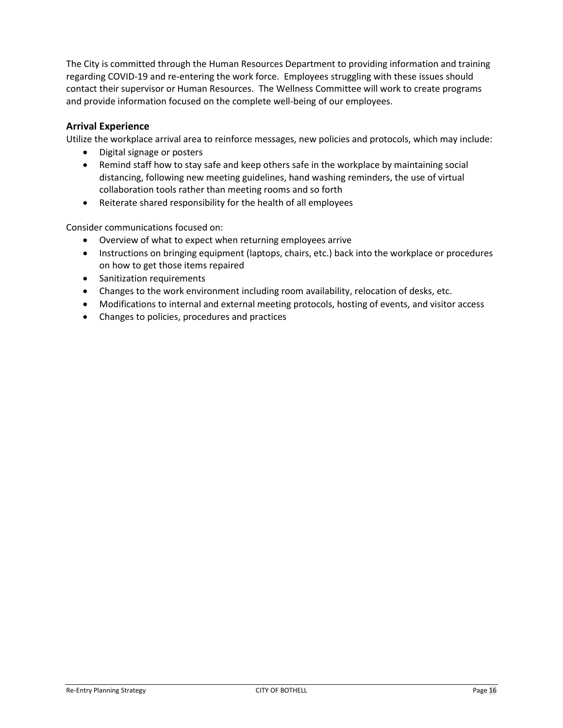The City is committed through the Human Resources Department to providing information and training regarding COVID-19 and re-entering the work force. Employees struggling with these issues should contact their supervisor or Human Resources. The Wellness Committee will work to create programs and provide information focused on the complete well-being of our employees.

## **Arrival Experience**

Utilize the workplace arrival area to reinforce messages, new policies and protocols, which may include:

- Digital signage or posters
- Remind staff how to stay safe and keep others safe in the workplace by maintaining social distancing, following new meeting guidelines, hand washing reminders, the use of virtual collaboration tools rather than meeting rooms and so forth
- Reiterate shared responsibility for the health of all employees

Consider communications focused on:

- Overview of what to expect when returning employees arrive
- Instructions on bringing equipment (laptops, chairs, etc.) back into the workplace or procedures on how to get those items repaired
- Sanitization requirements
- Changes to the work environment including room availability, relocation of desks, etc.
- Modifications to internal and external meeting protocols, hosting of events, and visitor access
- Changes to policies, procedures and practices